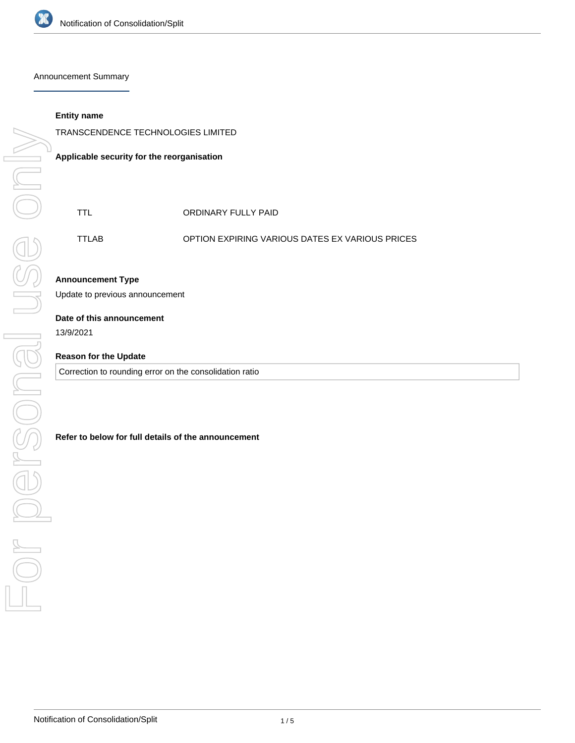

Announcement Summary

### **Entity name**

TRANSCENDENCE TECHNOLOGIES LIMITED

**Applicable security for the reorganisation**

| TTL.  | ORDINARY FULLY PAID                                    |
|-------|--------------------------------------------------------|
| TTLAB | <b>OPTION EXPIRING VARIOUS DATES EX VARIOUS PRICES</b> |

## **Announcement Type**

Update to previous announcement

#### **Date of this announcement**

13/9/2021

## **Reason for the Update**

Correction to rounding error on the consolidation ratio

### **Refer to below for full details of the announcement**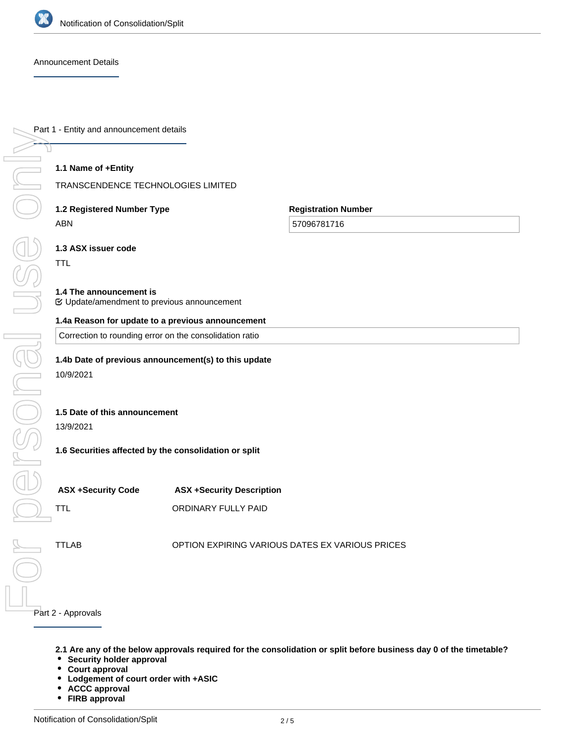

Announcement Details

### **1.1 Name of +Entity**

TRANSCENDENCE TECHNOLOGIES LIMITED

# **1.2 Registered Number Type** ABN

**Registration Number**

57096781716

**1.3 ASX issuer code**

TTL

 $\frac{1}{2}$ 

personal u

### **1.4 The announcement is**

Update/amendment to previous announcement

### **1.4a Reason for update to a previous announcement**

Correction to rounding error on the consolidation ratio

### **1.4b Date of previous announcement(s) to this update**

10/9/2021

### **1.5 Date of this announcement**

13/9/2021

### **1.6 Securities affected by the consolidation or split**

**ASX +Security Code ASX +Security Description**

TTL **CONDINARY FULLY PAID** 

TTLAB OPTION EXPIRING VARIOUS DATES EX VARIOUS PRICES

#### Part 2 - Approvals

- **2.1 Are any of the below approvals required for the consolidation or split before business day 0 of the timetable?**
- **Security holder approval**
- **Court approval**  $\bullet$
- $\bullet$ **Lodgement of court order with +ASIC**
- **ACCC approval**  $\bullet$
- **FIRB approval**

**Another approval/condition external to the entity required to be given/met before business day 0 of the**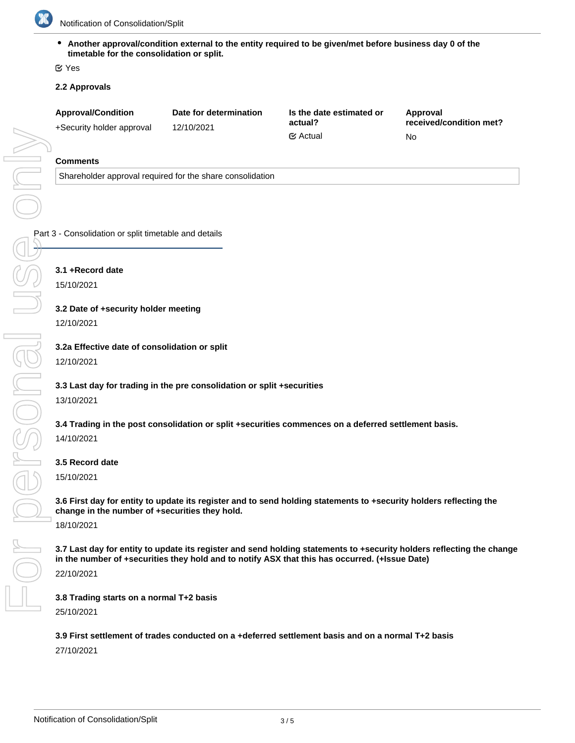

Notification of Consolidation/Split

**Another approval/condition external to the entity required to be given/met before business day 0 of the timetable for the consolidation or split.**

Yes

## **2.2 Approvals**

| <b>Approval/Condition</b> | Date for determination | Is the date estimated or<br>actual? | Approval<br>received/condition met? |
|---------------------------|------------------------|-------------------------------------|-------------------------------------|
| +Security holder approval | 12/10/2021             |                                     |                                     |
|                           |                        | $\mathfrak{S}$ Actual               | No                                  |

### **Comments**

Shareholder approval required for the share consolidation

Part 3 - Consolidation or split timetable and details

**3.1 +Record date**

15/10/2021

**3.2 Date of +security holder meeting**

12/10/2021

**3.2a Effective date of consolidation or split**

12/10/2021

**3.3 Last day for trading in the pre consolidation or split +securities** 13/10/2021

**3.4 Trading in the post consolidation or split +securities commences on a deferred settlement basis.**

14/10/2021

## **3.5 Record date**

15/10/2021

**3.6 First day for entity to update its register and to send holding statements to +security holders reflecting the change in the number of +securities they hold.** 18/10/2021

**3.7 Last day for entity to update its register and send holding statements to +security holders reflecting the change in the number of +securities they hold and to notify ASX that this has occurred. (+Issue Date)**

22/10/2021

**3.8 Trading starts on a normal T+2 basis** 25/10/2021

**3.9 First settlement of trades conducted on a +deferred settlement basis and on a normal T+2 basis**

27/10/2021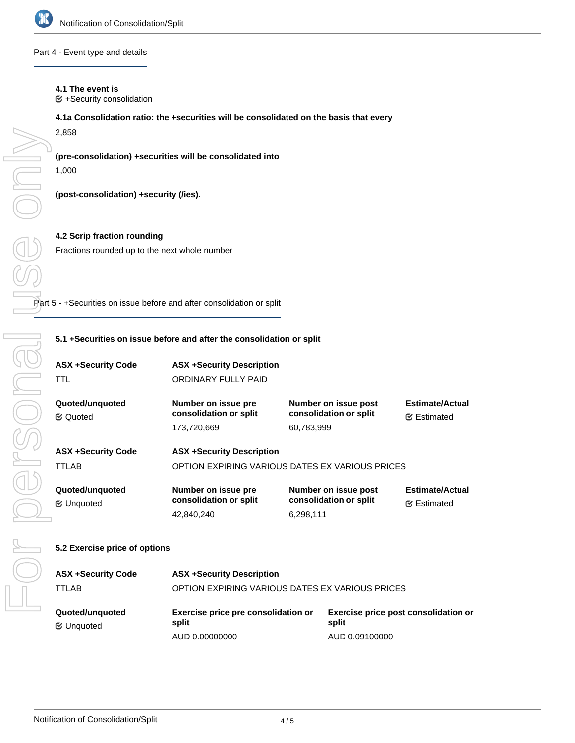

Part 4 - Event type and details

### **4.1 The event is**

 $E$  +Security consolidation

### **4.1a Consolidation ratio: the +securities will be consolidated on the basis that every**

2,858

# **(pre-consolidation) +securities will be consolidated into**

1,000

On

**(post-consolidation) +security (/ies).**

# **4.2 Scrip fraction rounding** Fractions rounded up to the next whole number

Part 5 - +Securities on issue before and after consolidation or split

### **5.1 +Securities on issue before and after the consolidation or split**

| <b>ASX +Security Code</b><br>TTL      | <b>ASX +Security Description</b><br>ORDINARY FULLY PAID                             |                                                              |                                               |  |  |  |
|---------------------------------------|-------------------------------------------------------------------------------------|--------------------------------------------------------------|-----------------------------------------------|--|--|--|
| Quoted/unguoted<br><b>E</b> ⁄ Quoted  | Number on issue pre<br>consolidation or split<br>173,720,669                        | Number on issue post<br>consolidation or split<br>60,783,999 | <b>Estimate/Actual</b><br><b></b> ∉ Estimated |  |  |  |
| <b>ASX +Security Code</b><br>TTLAB    | <b>ASX +Security Description</b><br>OPTION EXPIRING VARIOUS DATES EX VARIOUS PRICES |                                                              |                                               |  |  |  |
| Quoted/unquoted<br><b></b> ∉ Unquoted | Number on issue pre<br>consolidation or split<br>42,840,240                         | Number on issue post<br>consolidation or split<br>6,298,111  | <b>Estimate/Actual</b><br><b></b> ∉ Estimated |  |  |  |
| 5.2 Exercise price of options         |                                                                                     |                                                              |                                               |  |  |  |

| <b>ASX +Security Code</b>            | <b>ASX +Security Description</b>                |                                               |  |
|--------------------------------------|-------------------------------------------------|-----------------------------------------------|--|
| TTLAB                                | OPTION EXPIRING VARIOUS DATES EX VARIOUS PRICES |                                               |  |
| Quoted/unguoted<br><b>≝</b> Unquoted | Exercise price pre consolidation or<br>split    | Exercise price post consolidation or<br>split |  |
|                                      | AUD 0.00000000                                  | AUD 0.09100000                                |  |